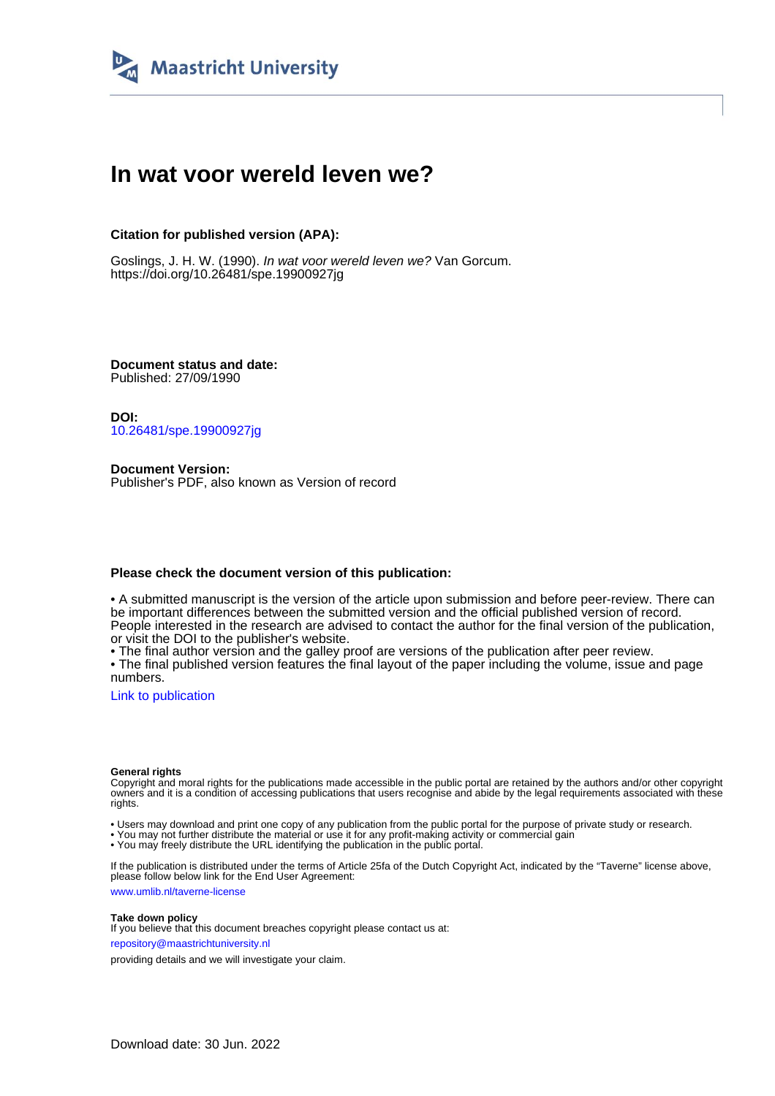

## **In wat voor wereld leven we?**

## **Citation for published version (APA):**

Goslings, J. H. W. (1990). In wat voor wereld leven we? Van Gorcum. <https://doi.org/10.26481/spe.19900927jg>

**Document status and date:** Published: 27/09/1990

**DOI:** [10.26481/spe.19900927jg](https://doi.org/10.26481/spe.19900927jg)

**Document Version:** Publisher's PDF, also known as Version of record

#### **Please check the document version of this publication:**

• A submitted manuscript is the version of the article upon submission and before peer-review. There can be important differences between the submitted version and the official published version of record. People interested in the research are advised to contact the author for the final version of the publication, or visit the DOI to the publisher's website.

• The final author version and the galley proof are versions of the publication after peer review.

• The final published version features the final layout of the paper including the volume, issue and page numbers.

[Link to publication](https://cris.maastrichtuniversity.nl/en/publications/ceb3a9f5-9e04-4bbc-819b-62fc2233c2b3)

#### **General rights**

Copyright and moral rights for the publications made accessible in the public portal are retained by the authors and/or other copyright owners and it is a condition of accessing publications that users recognise and abide by the legal requirements associated with these rights.

• Users may download and print one copy of any publication from the public portal for the purpose of private study or research.

• You may not further distribute the material or use it for any profit-making activity or commercial gain

• You may freely distribute the URL identifying the publication in the public portal.

If the publication is distributed under the terms of Article 25fa of the Dutch Copyright Act, indicated by the "Taverne" license above, please follow below link for the End User Agreement:

www.umlib.nl/taverne-license

#### **Take down policy**

If you believe that this document breaches copyright please contact us at: repository@maastrichtuniversity.nl

providing details and we will investigate your claim.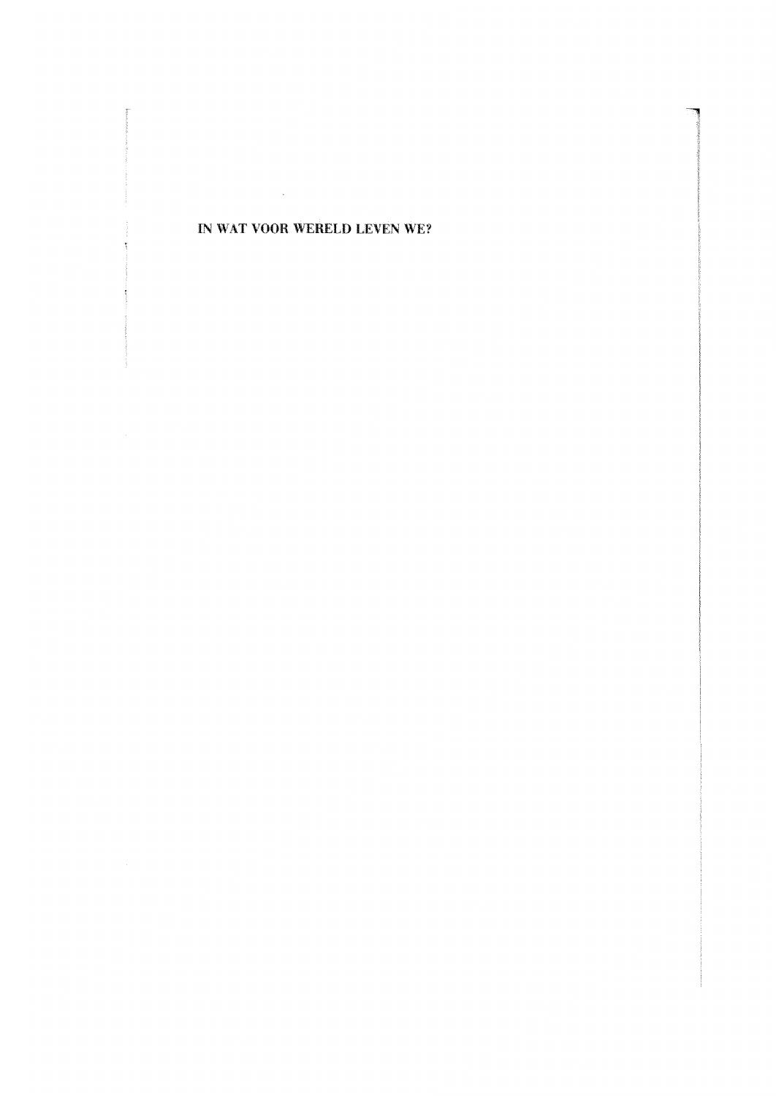## IN WAT VOOR WERELD LEVEN WE?

 $\mathcal{L}^{\text{max}}_{\text{max}}$  and  $\mathcal{L}^{\text{max}}_{\text{max}}$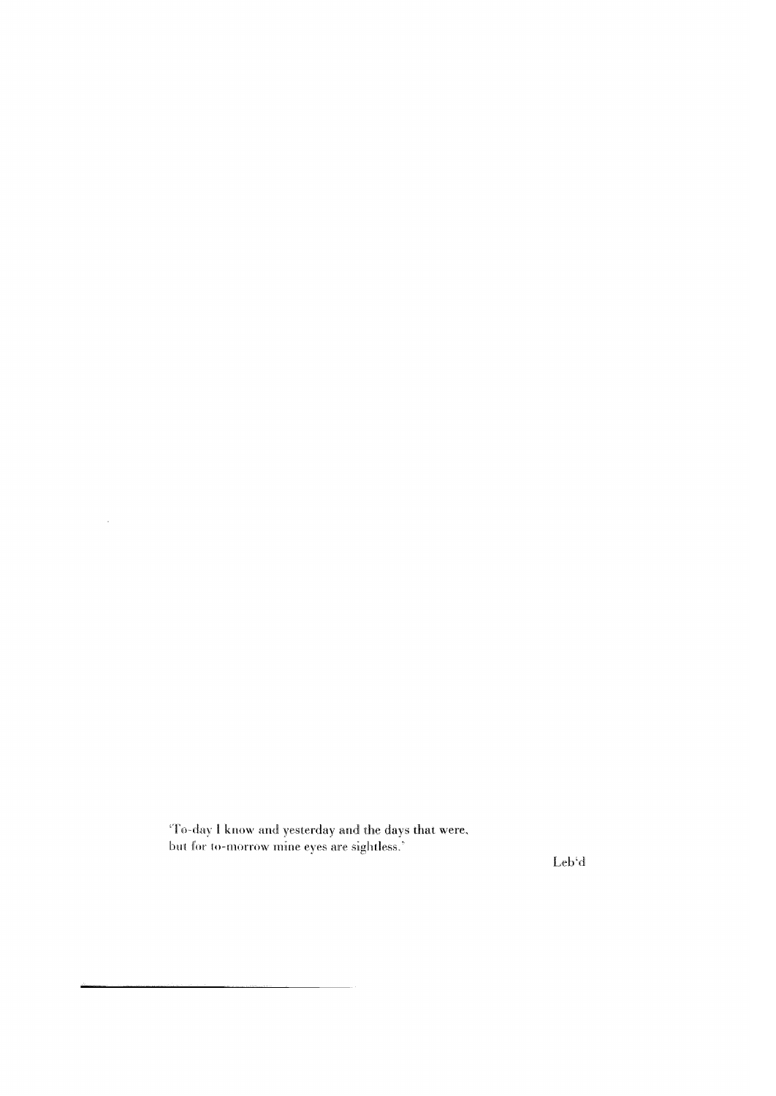'To-day I know and yesterday and the days that were,<br>but for to-morrow mine eyes are sightless.'

 ${\rm Leb\acute{~d}}$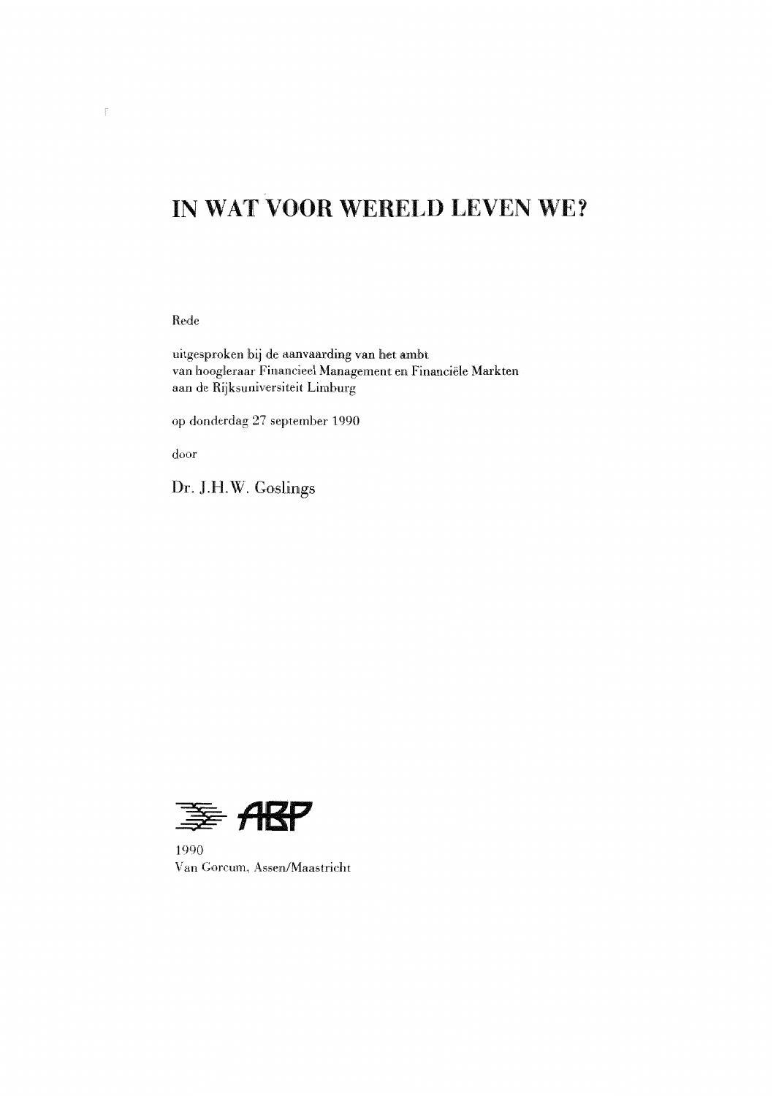# IN WAT VOOR WERELD LEVEN WE?

Rede

uitgesproken bij de aanvaarding van het ambt van hoogleraar Financieel Management en Financiële Markten aan de Rijksuniversiteit Limburg

op donderdag 27 september 1990

door

Dr. J.H.W. Goslings



1990 Van Gorcum, Assen/Maastricht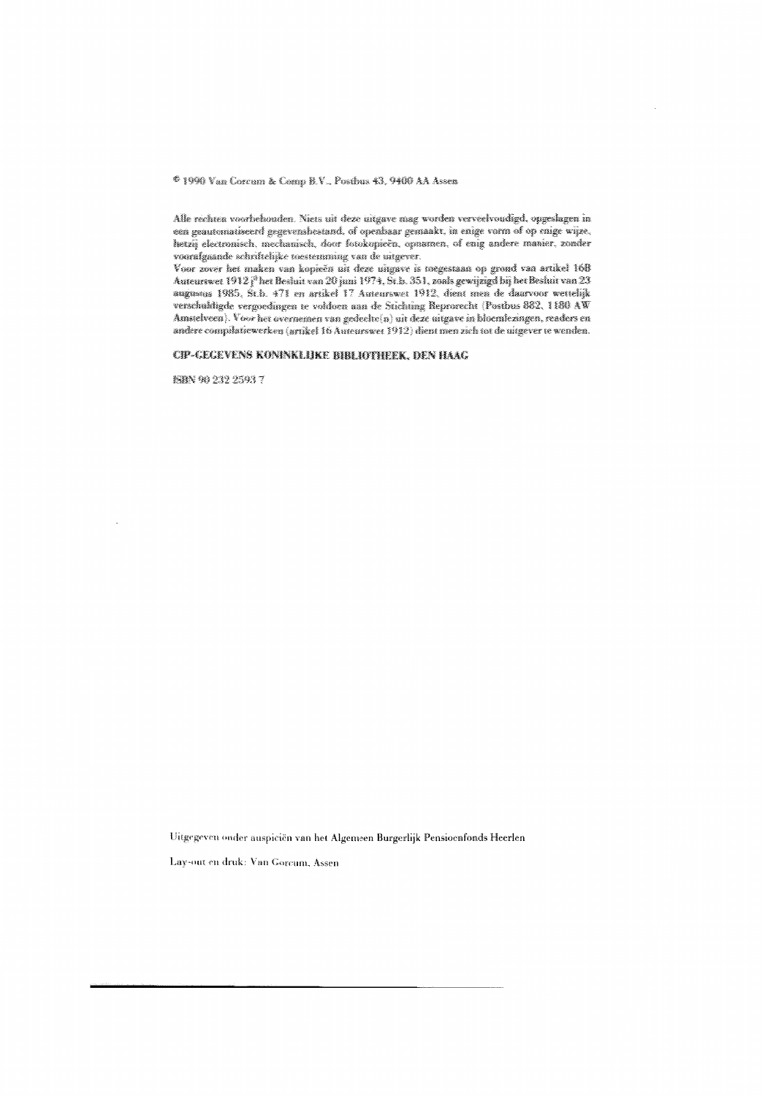Alle rechten voorbehouden. Niets uit deze uitgave mag worden verveelvoudigd, opgeslagen in een geautomatiseerd gegevensbestand, of openbaar gemaakt, in enige vorm of op enige wijze, hetzn electronisch, mechanisch, door fotokonieën, opnamen, of enig andere manier, zonder vooralgaande schriftelijke mestemming van de uitgever.

Voor zover het maken van kopieën uit deze uitgave is toegestaan op grond van artikel 16B Auteurswet 1912 i<sup>s</sup> het Besluit van 20 juni 1974, St.b. 351, zoals gewijzigd bij het Besluit van 23 augustus 1985. St.h. 471 en artikel 17 Auteurswet 1912. dient men de daarvoor wettelijk verschaldigde vergoedingen te voldoen aan de Stichting Reprorecht (Postbus 882, 1180 AW Amstelveen). Voor het overnemen van gedeelte(n) uit deze uitgave in bloemlezingen, readers en andere compilatiewerken (artikel 16 Auteurswet 1912) dient men zich tot de uitgever te wenden.

#### **CIP-GEGEVENS KONINKLIJKE BIBLIOTHEEK. DEN HAAG**

**ISBN 98 939 9593 7** 

Uitgegeven onder auspiciën van het Algemeen Burgerlijk Pensioenfonds Heerlen

Lay-out en druk: Van Goreum, Assen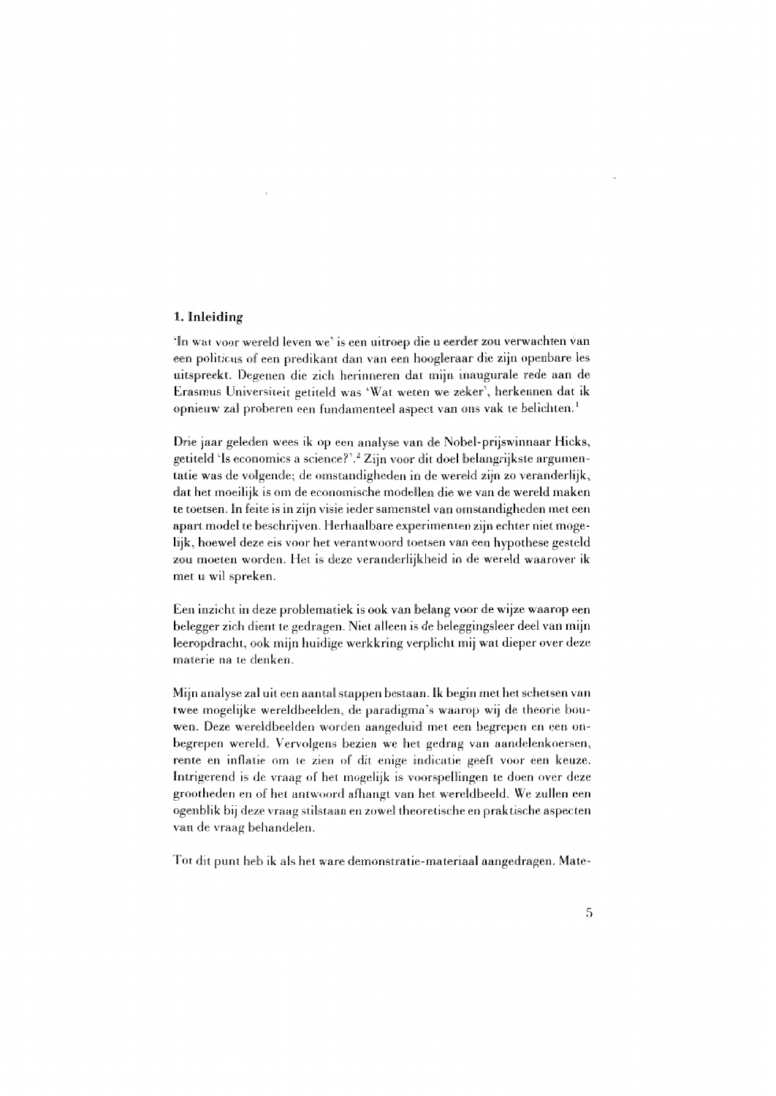## 1. Inleiding

'In wat voor wereld leven we' is een uitroep die u eerder zou verwachten van een politicus of een predikant dan van een hoogleraar die zijn openbare les uitspreekt. Degenen die zich herinneren dat mijn inaugurale rede aan de Erasmus Universiteit getiteld was 'Wat weten we zeker', herkennen dat ik opnieuw zal proberen een fundamenteel aspect van ons vak te belichten.<sup>1</sup>

Drie jaar geleden wees ik op een analyse van de Nobel-prijswinnaar Hicks, getiteld 'Is economics a science?'.<sup>2</sup> Zijn voor dit doel belangrijkste argumentatie was de volgende; de omstandigheden in de wereld zijn zo veranderlijk, dat het moeilijk is om de economische modellen die we van de wereld maken te toetsen. In feite is in zijn visie ieder samenstel van omstandigheden met een apart model te beschrijven. Herhaalbare experimenten zijn echter niet mogelijk, hoewel deze eis voor het verantwoord toetsen van een hypothese gesteld zou moeten worden. Het is deze veranderlijkheid in de wereld waarover ik met u wil spreken.

Een inzicht in deze problematiek is ook van belang voor de wijze waarop een belegger zich dient te gedragen. Niet alleen is de beleggingsleer deel van mijn leeropdracht, ook mijn huidige werkkring verplicht mij wat dieper over deze materie na te denken.

Mijn analyse zal uit een aantal stappen bestaan. Ik begin met het schetsen van twee mogelijke wereldbeelden, de paradigma's waarop wij de theorie bouwen. Deze wereldbeelden worden aangeduid met een begrepen en een onbegrepen wereld. Vervolgens bezien we het gedrag van aandelenkoersen, rente en inflatie om te zien of dit enige indicatie geeft voor een keuze. Intrigerend is de vraag of het mogelijk is voorspellingen te doen over deze grootheden en of het antwoord afhangt van het wereldbeeld. We zullen een ogenblik bij deze vraag stilstaan en zowel theoretische en praktische aspecten van de vraag behandelen.

Tot dit punt heb ik als het ware demonstratie-materiaal aangedragen. Mate-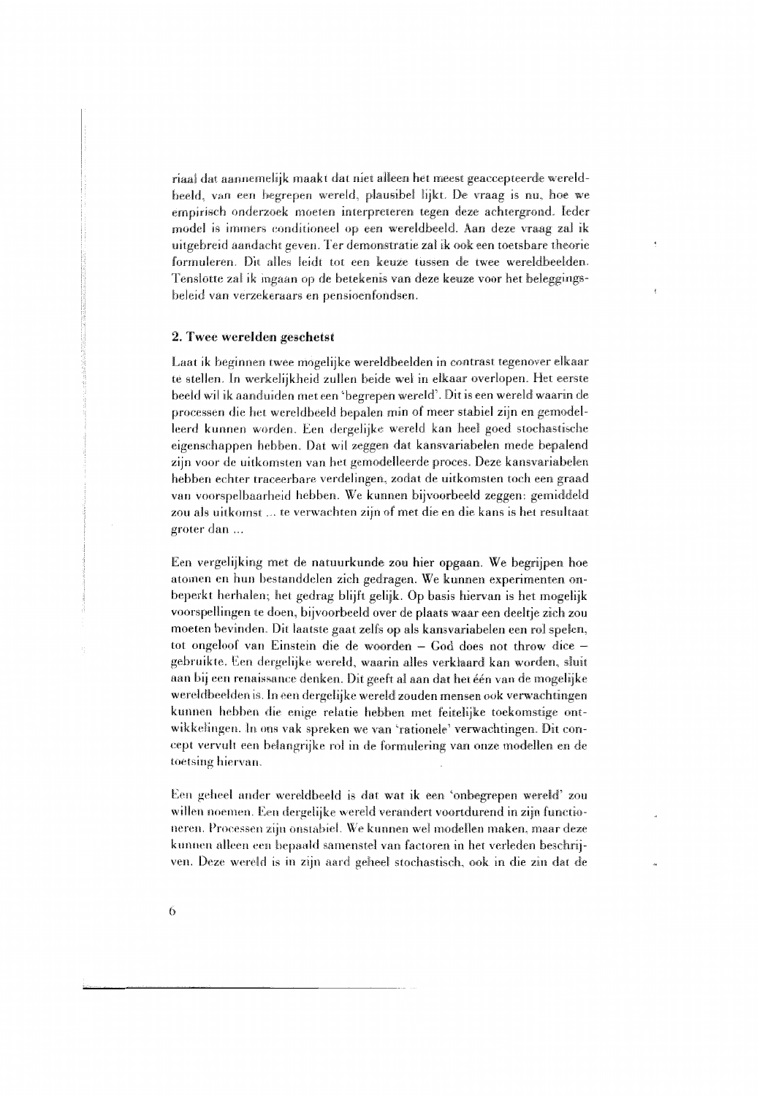riaal dat aannemelijk maakt dat niet alleen het meest geaccepteerde wereldbeeld, van een begrepen wereld, plausibel lijkt. De vraag is nu, hoe we empirisch onderzoek moeten interpreteren tegen deze achtergrond. Ieder model is immers conditioneel op een wereldbeeld. Aan deze vraag zal ik uitgebreid aandacht geven. Ter demonstratie zal ik ook een toetsbare theorie formuleren. Dit alles leidt tot een keuze tussen de twee wereldbeelden. Tenslotte zal ik ingaan op de betekenis van deze keuze voor het beleggingsbeleid van verzekeraars en pensioenfondsen.

## 2. Twee werelden geschetst

Laat ik beginnen twee mogelijke wereldbeelden in contrast tegenover elkaar te stellen. In werkelijkheid zullen beide wel in elkaar overlopen. Het eerste beeld wil ik aanduiden met een 'begrepen wereld'. Dit is een wereld waarin de processen die het wereldbeeld bepalen min of meer stabiel zijn en gemodelleerd kunnen worden. Een dergelijke wereld kan heel goed stochastische eigenschappen hebben. Dat wil zeggen dat kansvariabelen mede bepalend zijn voor de uitkomsten van het gemodelleerde proces. Deze kansvariabelen hebben echter traceerbare verdelingen, zodat de uitkomsten toch een graad van voorspelbaarheid hebben. We kunnen bijvoorbeeld zeggen: gemiddeld zou als uitkomst ... te verwachten zijn of met die en die kans is het resultaat groter dan ...

Een vergelijking met de natuurkunde zou hier opgaan. We begrijpen hoe atomen en hun bestanddelen zich gedragen. We kunnen experimenten onbeperkt herhalen; het gedrag blijft gelijk. Op basis hiervan is het mogelijk voorspellingen te doen, bijvoorbeeld over de plaats waar een deeltje zich zou moeten bevinden. Dit laatste gaat zelfs op als kansvariabelen een rol spelen, tot ongeloof van Einstein die de woorden - God does not throw dice gebruikte. Een dergelijke wereld, waarin alles verklaard kan worden, sluit aan bij een renaissance denken. Dit geeft al aan dat het één van de mogelijke wereldbeelden is. In een dergelijke wereld zouden mensen ook verwachtingen kunnen hebben die enige relatie hebben met feitelijke toekomstige ontwikkelingen. In ons vak spreken we van 'rationele' verwachtingen. Dit concept vervult een belangrijke rol in de formulering van onze modellen en de toetsing hiervan.

Een geheel ander wereldbeeld is dat wat ik een 'onbegrepen wereld' zou willen noemen. Een dergelijke wereld verandert voortdurend in zijn functioneren. Processen zijn onstabiel. We kunnen wel modellen maken, maar deze kunnen alleen een bepaald samenstel van factoren in het verleden beschrijven. Deze wereld is in zijn aard geheel stochastisch, ook in die zin dat de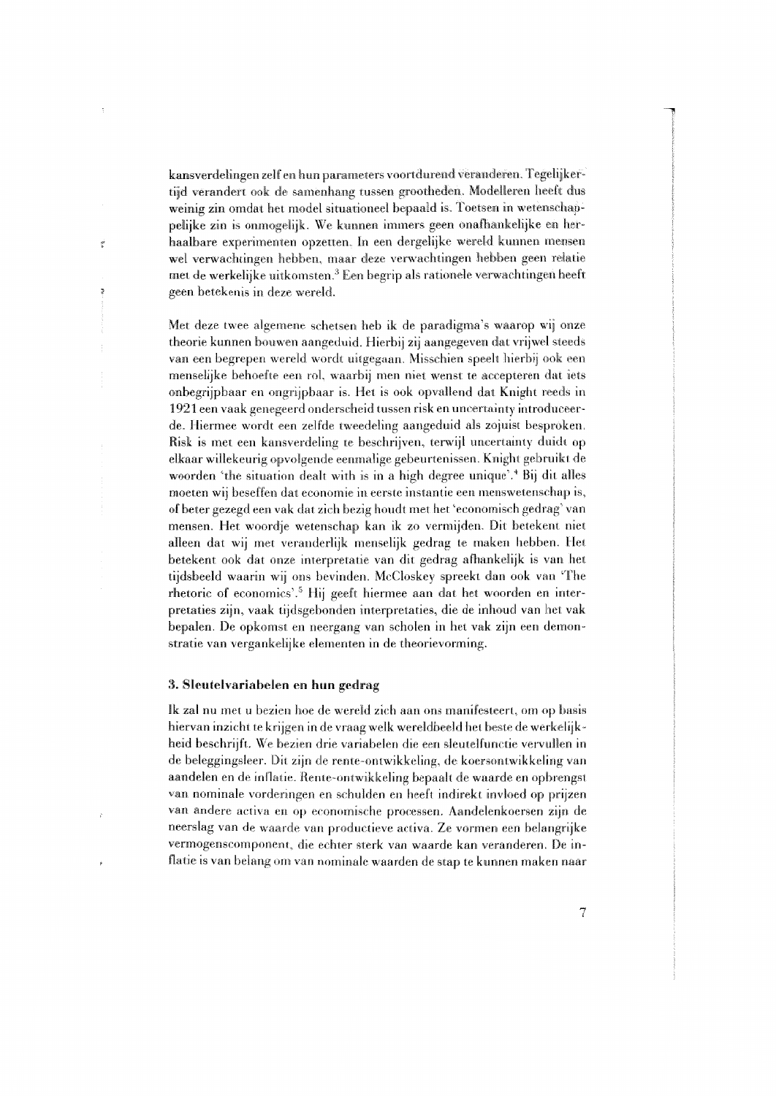kansverdelingen zelf en hun parameters voortdurend veranderen. Tegelijkertijd verandert ook de samenhang tussen grootheden. Modelleren heeft dus weinig zin omdat het model situationeel bepaald is. Toetsen in wetenschappelijke zin is onmogelijk. We kunnen immers geen onafhankelijke en herhaalbare experimenten opzetten. In een dergelijke wereld kunnen mensen wel verwachtingen hebben, maar deze verwachtingen hebben geen relatie met de werkelijke uitkomsten.<sup>3</sup> Een begrip als rationele verwachtingen heeft geen betekenis in deze wereld.

Met deze twee algemene schetsen heb ik de paradigma's waarop wij onze theorie kunnen bouwen aangeduid. Hierbij zij aangegeven dat vrijwel steeds van een begrepen wereld wordt uitgegaan. Misschien speelt hierbij ook een menselijke behoefte een rol, waarbij men niet wenst te accepteren dat iets onbegrijpbaar en ongrijpbaar is. Het is ook opvallend dat Knight reeds in 1921 een vaak genegeerd onderscheid tussen risk en uncertainty introduceerde. Hiermee wordt een zelfde tweedeling aangeduid als zojuist besproken. Risk is met een kansverdeling te beschrijven, terwijl uncertainty duidt op elkaar willekeurig opvolgende eenmalige gebeurtenissen. Knight gebruikt de woorden 'the situation dealt with is in a high degree unique'.<sup>4</sup> Bij dit alles moeten wij beseffen dat economie in eerste instantie een menswetenschap is, of beter gezegd een vak dat zich bezig houdt met het 'economisch gedrag' van mensen. Het woordje wetenschap kan ik zo vermijden. Dit betekent niet alleen dat wij met veranderlijk menselijk gedrag te maken hebben. Het betekent ook dat onze interpretatie van dit gedrag afhankelijk is van het tijdsbeeld waarin wij ons bevinden. McCloskey spreekt dan ook van 'The rhetoric of economics'.<sup>5</sup> Hij geeft hiermee aan dat het woorden en interpretaties zijn, vaak tijdsgebonden interpretaties, die de inhoud van het vak bepalen. De opkomst en neergang van scholen in het vak zijn een demonstratie van vergankelijke elementen in de theorievorming.

### 3. Sleutelvariabelen en hun gedrag

Ik zal nu met u bezien hoe de wereld zich aan ons manifesteert, om op basis hiervan inzicht te krijgen in de vraag welk wereldbeeld het beste de werkelijkheid beschrijft. We bezien drie variabelen die een sleutelfunctie vervullen in de beleggingsleer. Dit zijn de rente-ontwikkeling, de koersontwikkeling van aandelen en de inflatie. Rente-ontwikkeling bepaalt de waarde en opbrengst van nominale vorderingen en schulden en heeft indirekt invloed op prijzen van andere activa en op economische processen. Aandelenkoersen zijn de neerslag van de waarde van productieve activa. Ze vormen een belangrijke vermogenscomponent, die echter sterk van waarde kan veranderen. De inflatie is van belang om van nominale waarden de stap te kunnen maken naar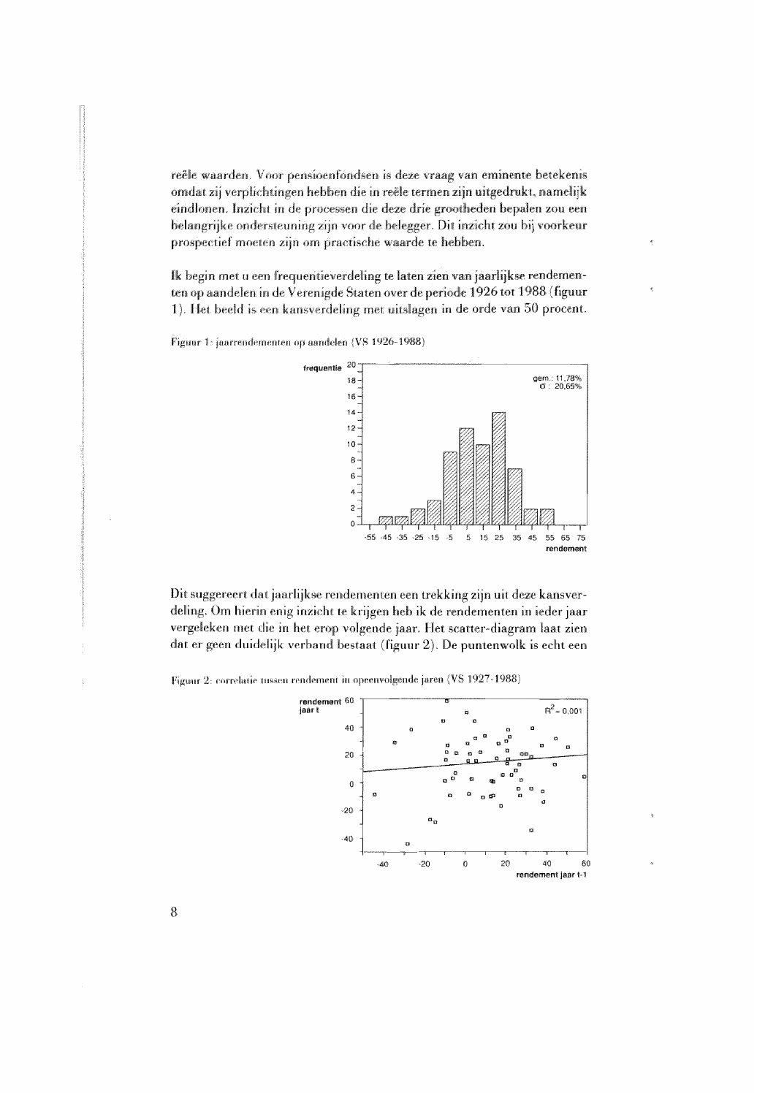reële waarden. Voor pensioenfondsen is deze vraag van eminente betekenis omdat zij verplichtingen hebben die in reële termen zijn uitgedrukt, namelijk eindlonen. Inzicht in de processen die deze drie grootheden bepalen zou een belangrijke ondersteuning zijn voor de belegger. Dit inzicht zou bij voorkeur prospectief moeten zijn om practische waarde te hebben.

Ik begin met u een frequentieverdeling te laten zien van jaarlijkse rendementen op aandelen in de Verenigde Staten over de periode 1926 tot 1988 (figuur 1). Het beeld is een kansverdeling met uitslagen in de orde van 50 procent.



Figuur 1: jaarrendementen op aandelen (VS 1926-1988)

Dit suggereert dat jaarlijkse rendementen een trekking zijn uit deze kansverdeling. Om hierin enig inzicht te krijgen heb ik de rendementen in ieder jaar vergeleken met die in het erop volgende jaar. Het scatter-diagram laat zien dat er geen duidelijk verband bestaat (figuur 2). De puntenwolk is echt een

Figuur 2: correlatie tussen rendement in opeenvolgende jaren (VS 1927-1988)

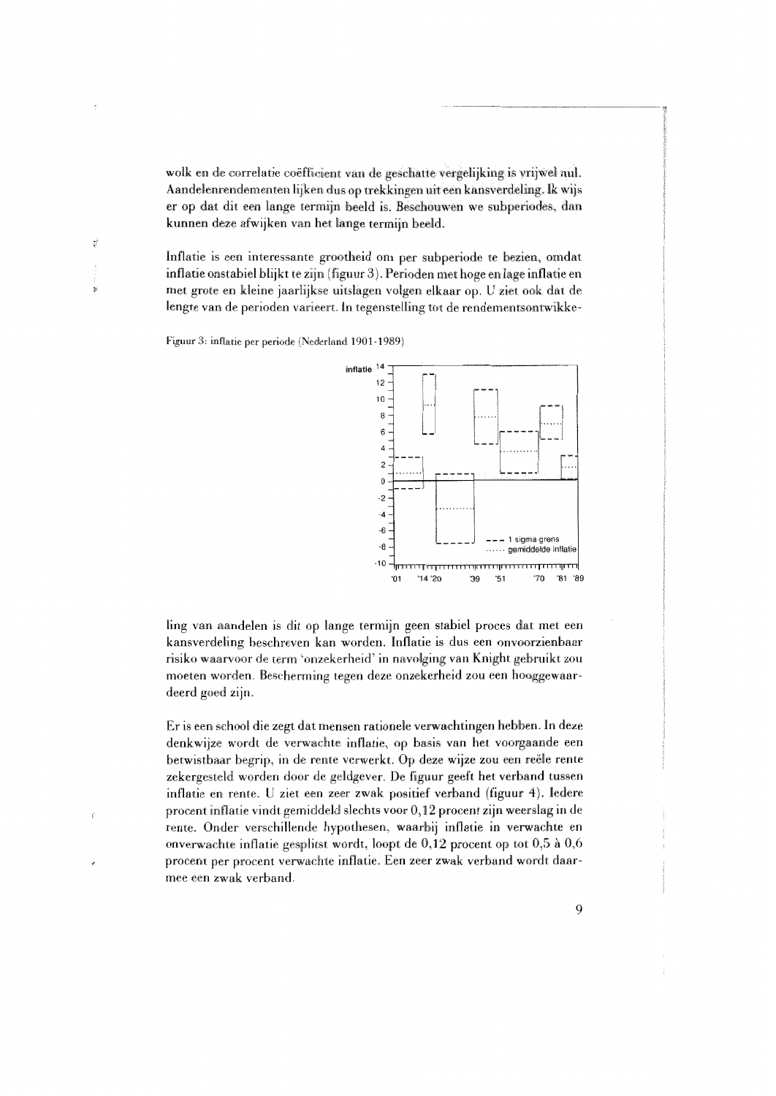wolk en de correlatie coëfficient van de geschatte vergelijking is vrijwel nul. Aandelenrendementen lijken dus op trekkingen uit een kansverdeling. Ik wijs er op dat dit een lange termijn beeld is. Beschouwen we subperiodes, dan kunnen deze afwijken van het lange termijn beeld.

Inflatie is een interessante grootheid om per subperiode te bezien, omdat inflatie onstabiel blijkt te zijn (figuur 3). Perioden met hoge en lage inflatie en met grote en kleine jaarlijkse uitslagen volgen elkaar op. U ziet ook dat de lengte van de perioden varieert. In tegenstelling tot de rendementsontwikke-





ling van aandelen is dit op lange termijn geen stabiel proces dat met een kansverdeling beschreven kan worden. Inflatie is dus een onvoorzienbaar risiko waarvoor de term 'onzekerheid' in navolging van Knight gebruikt zou moeten worden. Bescherming tegen deze onzekerheid zou een hooggewaardeerd goed zijn.

Er is een school die zegt dat mensen rationele verwachtingen hebben. In deze denkwijze wordt de verwachte inflatie, op basis van het voorgaande een betwistbaar begrip, in de rente verwerkt. Op deze wijze zou een reële rente zekergesteld worden door de geldgever. De figuur geeft het verband tussen inflatie en rente. U ziet een zeer zwak positief verband (figuur 4). ledere procent inflatie vindt gemiddeld slechts voor 0,12 procent zijn weerslag in de rente. Onder verschillende hypothesen, waarbij inflatie in verwachte en onverwachte inflatie gesplitst wordt, loopt de 0,12 procent op tot 0,5 à 0,6 procent per procent verwachte inflatie. Een zeer zwak verband wordt daarmee een zwak verband.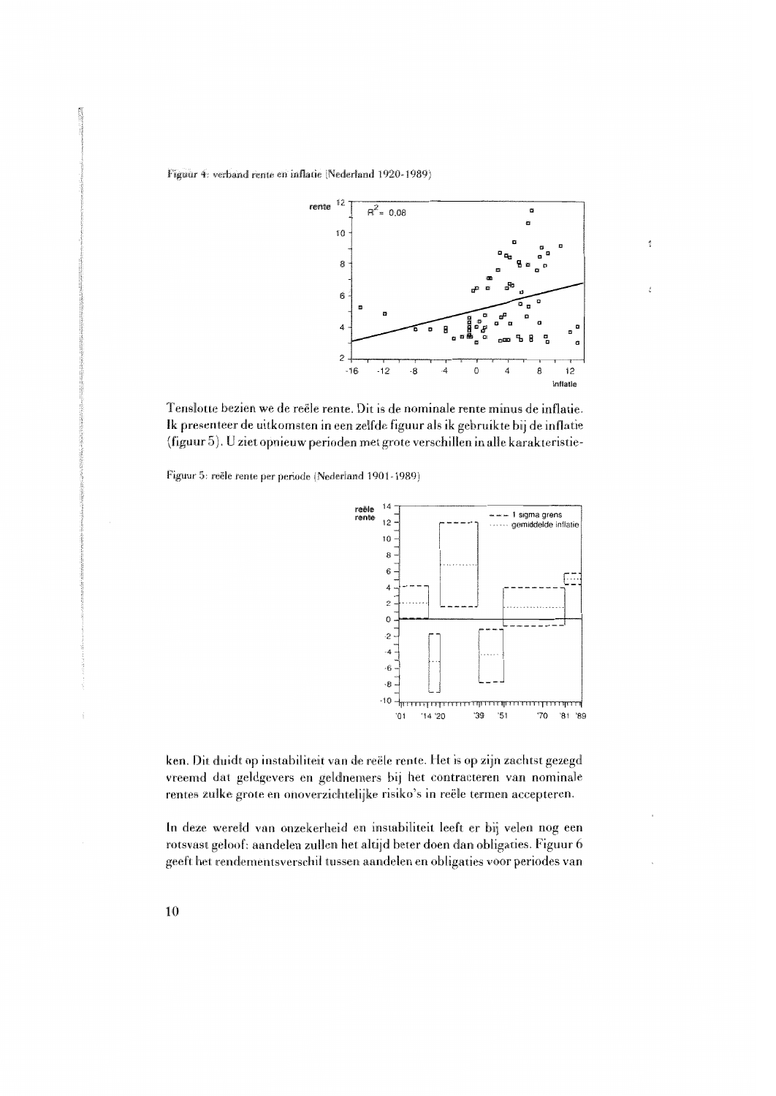Figuur 4: verband rente en inflatie (Nederland 1920-1989)



Tenslotte bezien we de reële rente. Dit is de nominale rente minus de inflatie. Ik presenteer de uitkomsten in een zelfde figuur als ik gebruikte bij de inflatie (figuur 5). U ziet opnieuw perioden met grote verschillen in alle karakteristie-

Figuur 5: reële rente per periode (Nederland 1901-1989)



ken. Dit duidt op instabiliteit van de reële rente. Het is op zijn zachtst gezegd vreemd dat geldgevers en geldnemers bij het contracteren van nominale rentes zulke grote en onoverzichtelijke risiko's in reële termen accepteren.

In deze wereld van onzekerheid en instabiliteit leeft er bij velen nog een rotsvast geloof: aandelen zullen het altijd beter doen dan obligaties. Figuur 6 geeft het rendementsverschil tussen aandelen en obligaties voor periodes van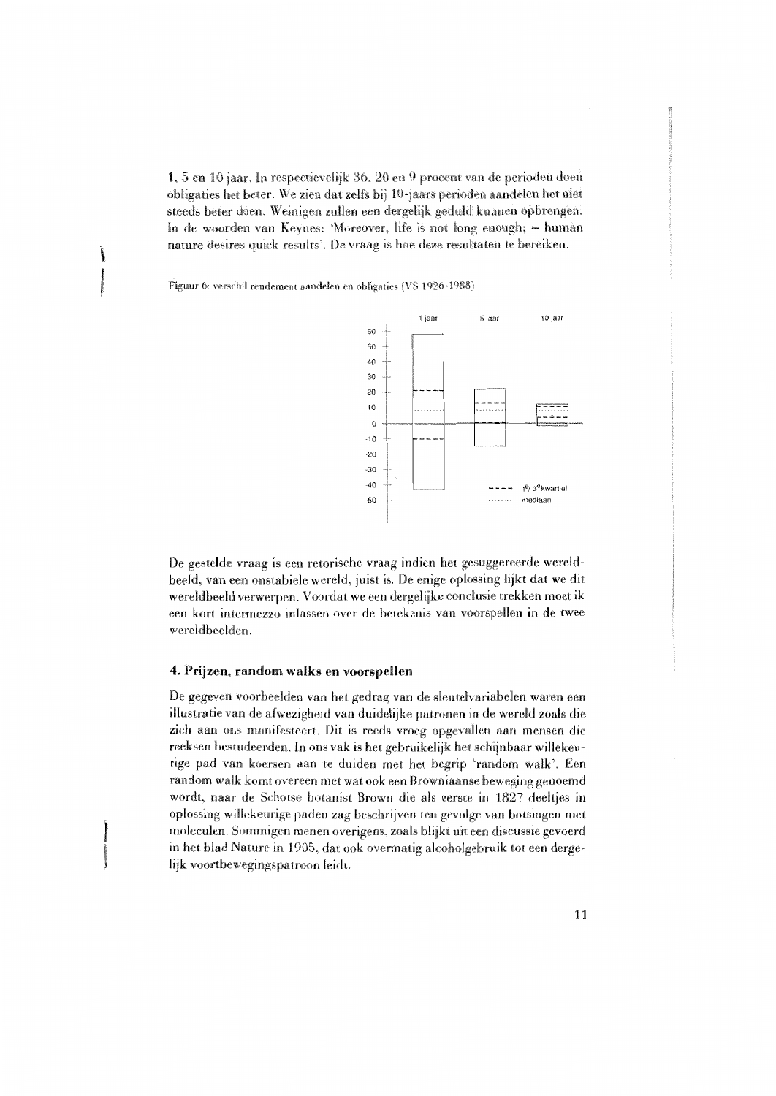1, 5 en 10 jaar. In respectievelijk 36, 20 en 9 procent van de perioden doen obligaties het beter. We zien dat zelfs bij 10-jaars perioden aandelen het niet steeds beter doen. Weinigen zullen een dergelijk geduid kunnen opbrengen. In de woorden van Keynes: 'Moreover, life is not long enough; - human nature desires quick results'. De vraag is hoe deze resultaten te bereiken.

Figuur 6: verschil rendement aandelen en obligaties (VS 1926-1988)



De gestelde vraag is een retorische vraag indien het gesuggereerde wereldbeeld, van een onstabiele wereld, juist is. De enige oplossing lijkt dat we dit wereldbeeld verwerpen. Voordat we een dergelijke conclusie trekken moet ik een kort intermezzo inlassen over de betekenis van voorspellen in de twee wereldbeelden.

## 4. Prijzen, random walks en voorspellen

De gegeven voorbeelden van het gedrag van de sleutelvariabelen waren een illustratie van de afwezigheid van duidelijke patronen in de wereld zoals die zich aan ons manifesteert. Dit is reeds vroeg opgevallen aan mensen die reeksen bestudeerden. In ons vak is het gebruikelijk het schijnbaar willekeurige pad van koersen aan te duiden met het begrip 'random walk'. Een random walk komt overeen met wat ook een Browniaanse beweging genoemd wordt, naar de Schotse botanist Brown die als eerste in 1827 deeltjes in oplossing willekeurige paden zag beschrijven ten gevolge van botsingen met moleculen. Sommigen menen overigens, zoals blijkt uit een discussie gevoerd in het blad Nature in 1905, dat ook overmatig alcoholgebruik tot een dergelijk voortbewegingspatroon leidt.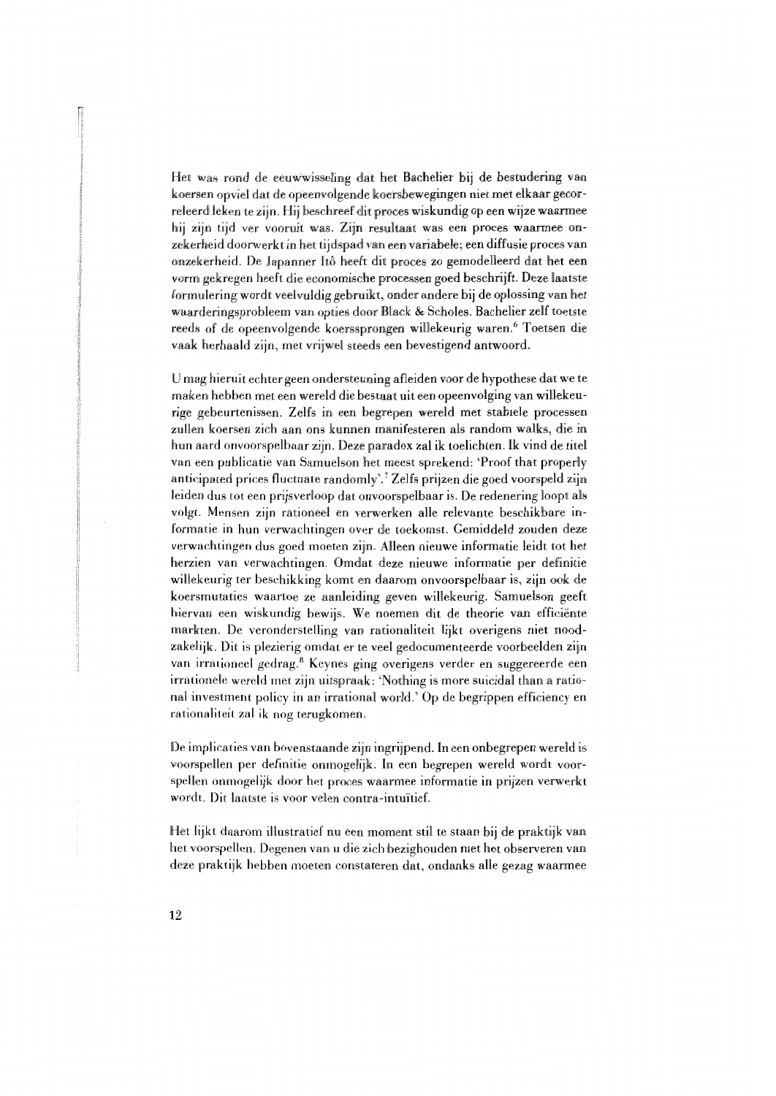Het was rond de eeuwwisseling dat het Bachelier bij de bestudering van koersen opviel dat de opeenvolgende koersbewegingen niet met elkaar gecorreleerd leken te zijn. Hij beschreef dit proces wiskundig op een wijze waarmee hij zijn tijd ver vooruit was. Zijn resultaat was een proces waarmee onzekerheid doorwerkt in het tijdspad van een variabele; een diffusie proces van onzekerheid. De Japanner Itô heeft dit proces zo gemodelleerd dat het een vorm gekregen heeft die economische processen goed beschrijft. Deze laatste formulering wordt veelvuldig gebruikt, onder andere bij de oplossing van het waarderingsprobleem van opties door Black & Scholes. Bachelier zelf toetste reeds of de opeenvolgende koerssprongen willekeurig waren.<sup>6</sup> Toetsen die vaak herhaald zijn, met vrijwel steeds een bevestigend antwoord.

U mag hieruit echter geen ondersteuning afleiden voor de hypothese dat we te maken hebben met een wereld die bestaat uit een opeenvolging van willekeurige gebeurtenissen. Zelfs in een begrepen wereld met stabiele processen zullen koersen zich aan ons kunnen manifesteren als random walks, die in hun aard onvoorspelbaar zijn. Deze paradox zal ik toelichten. Ik vind de titel van een publicatie van Samuelson het meest sprekend; 'Proof that properly anticipated prices fluctuate randomly'.<sup>7</sup> Zelfs prijzen die goed voorspeld zijn leiden dus tot een prijsverloop dat onvoorspelbaar is. De redenering loopt als volgt. Mensen zijn rationeel en verwerken alle relevante beschikbare informatie in hun verwachtingen over de toekomst. Gemiddeld zouden deze verwachtingen dus goed moeten zijn. Alleen nieuwe informatie leidt tot het herzien van verwachtingen. Omdat deze nieuwe informatie per definitie willekeurig ter beschikking komt en daarom onvoorspelbaar is, zijn ook de koersmutaties waartoe ze aanleiding geven willekeurig. Samuelson geeft hiervan een wiskundig bewijs. We noemen dit de theorie van efficiënte markten. De veronderstelling van rationaliteit lijkt overigens niet noodzakelijk. Dit is plezierig omdat er te veel gedocumenteerde voorbeelden zijn van irrationeel gedrag.<sup>8</sup> Keynes ging overigens verder en suggereerde een irrationele wereld met zijn uitspraak: 'Nothing is more suicidal than a rational investment policy in an irrational world. Op de begrippen efficiency en rationaliteit zal ik nog terugkomen.

De implicaties van bovenstaande zijn ingrijpend. In een onbegrepen wereld is voorspellen per definitie onmogelijk. In een begrepen wereld wordt voorspellen onmogelijk door het proces waarmee informatie in prijzen verwerkt wordt. Dit laatste is voor velen contra-intuïtief.

Het lijkt daarom illustratief nu een moment stil te staan bij de praktijk van het voorspellen. Degenen van u die zich bezighouden met het observeren van deze praktijk hebben moeten constateren dat, ondanks alle gezag waarmee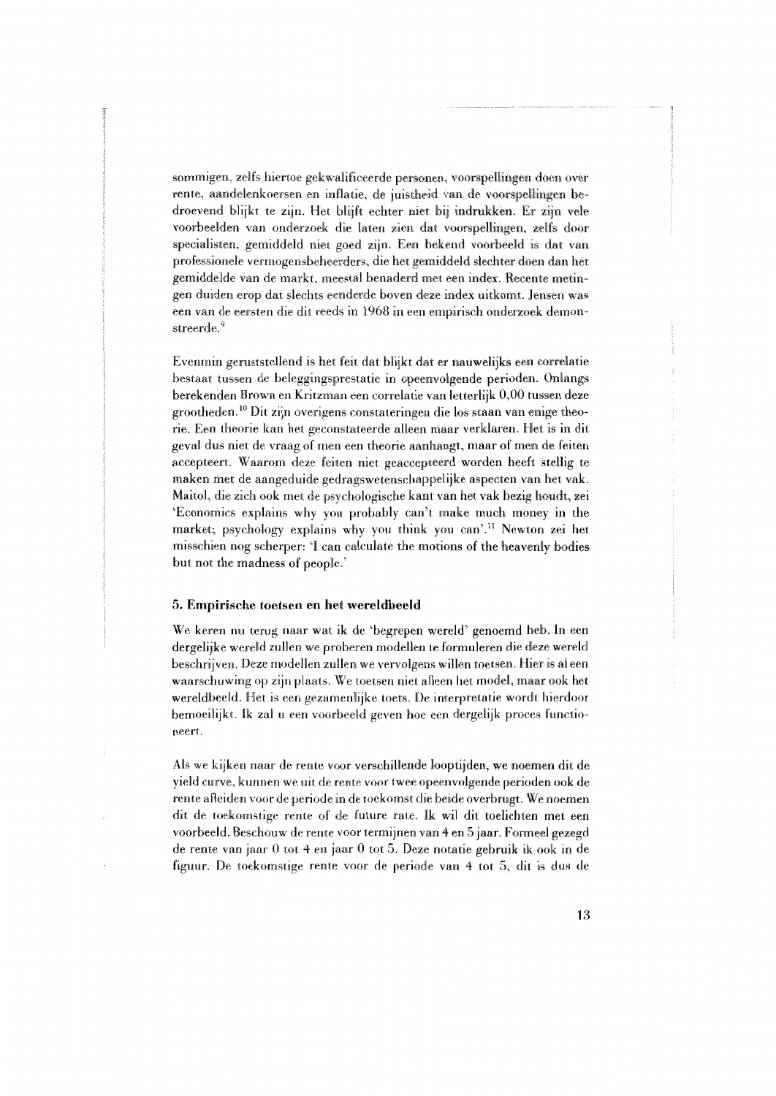sommigen, zelfs hiertoe gekwalificeerde personen, voorspellingen doen over rente, aandelenkoersen en inflatie, de juistheid van de voorspellingen bedroevend blijkt te zijn. Het blijft echter niet bij indrukken. Er zijn vele voorbeelden van onderzoek die laten zien dat voorspellingen, zelfs door specialisten, gemiddeld niet goed zijn. Een bekend voorbeeld is dat van professionele vermogensbeheerders, die het gemiddeld slechter doen dan het gemiddelde van de markt, meestal benaderd met een index. Recente metingen duiden erop dat slechts eenderde boven deze index uitkomt. Jensen was een van de eersten die dit reeds in 1968 in een empirisch onderzoek demonstreerde <sup>9</sup>

Evenmin geruststellend is het feit dat blijkt dat er nauwelijks een correlatie bestaat tussen de beleggingsprestatie in opeenvolgende perioden. Onlangs berekenden Brown en Kritzman een correlatie van letterlijk 0.00 tussen deze grootheden.<sup>10</sup> Dit zijn overigens constateringen die los staan van enige theorie. Een theorie kan het geconstateerde alleen maar verklaren. Het is in dit geval dus niet de vraag of men een theorie aanhangt, maar of men de feiten accepteert. Waarom deze feiten niet geaccepteerd worden heeft stellig te maken met de aangeduide gedragswetenschappelijke aspecten van het vak. Maitol, die zich ook met de psychologische kant van het vak bezig houdt, zei 'Economics explains why you probably can't make much money in the market; psychology explains why you think you can'.<sup>11</sup> Newton zei het misschien nog scherper: 'I can calculate the motions of the heavenly bodies but not the madness of people.'

## 5. Empirische toetsen en het wereldbeeld

We keren nu terug naar wat ik de 'begrepen wereld' genoemd heb. In een dergelijke wereld zullen we proberen modellen te formuleren die deze wereld beschrijven. Deze modellen zullen we vervolgens willen toetsen. Hier is al een waarschuwing op zijn plaats. We toetsen niet alleen het model, maar ook het wereldbeeld. Het is een gezamenlijke toets. De interpretatie wordt hierdoor bemoeilijkt. Ik zal u een voorbeeld geven hoe een dergelijk proces functioneert.

Als we kijken naar de rente voor verschillende looptijden, we noemen dit de vield curve, kunnen we uit de rente voor twee opeenvolgende perioden ook de rente afleiden voor de periode in de toekomst die beide overbrugt. We noemen dit de toekomstige rente of de future rate. Ik wil dit toelichten met een voorbeeld. Beschouw de rente voor termijnen van 4 en 5 jaar. Formeel gezegd de rente van jaar 0 tot 4 en jaar 0 tot 5. Deze notatie gebruik ik ook in de figuur. De toekomstige rente voor de periode van 4 tot 5, dit is dus de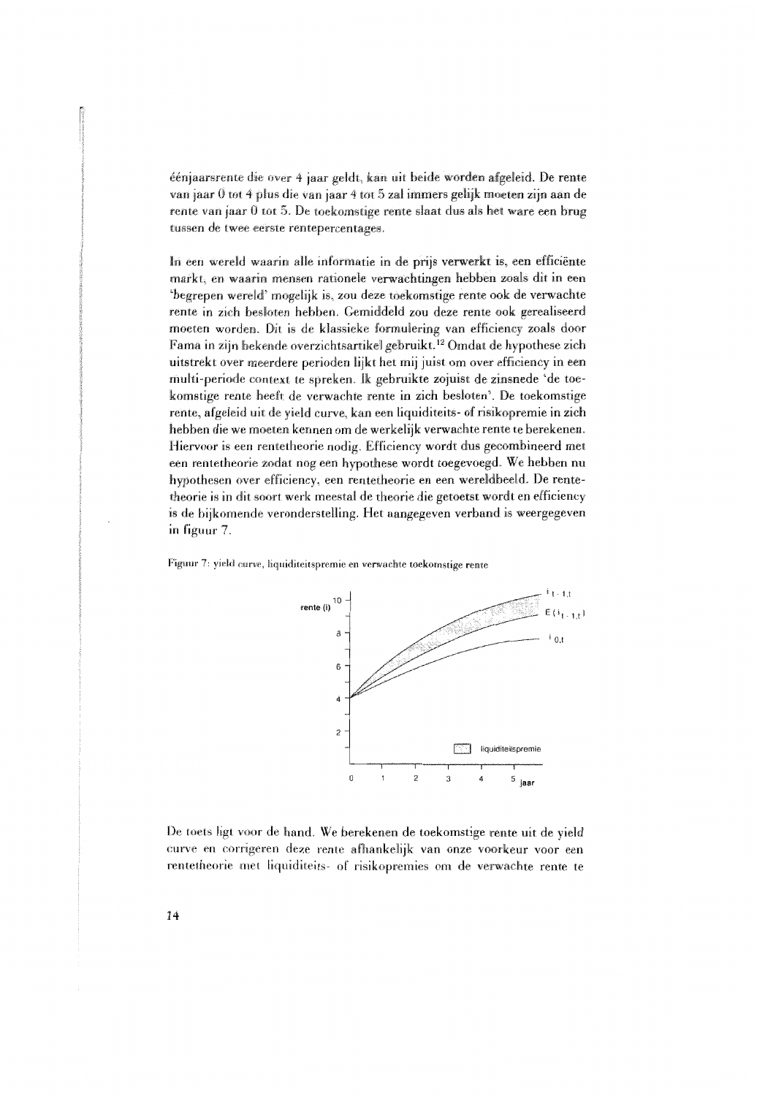éénjaarsrente die over 4 jaar geldt, kan uit beide worden afgeleid. De rente van jaar 0 tot 4 plus die van jaar 4 tot 5 zal immers gelijk moeten zijn aan de rente van jaar 0 tot 5. De toekomstige rente slaat dus als het ware een brug tussen de twee eerste rentepercentages.

In een wereld waarin alle informatie in de prijs verwerkt is, een efficiënte markt, en waarin mensen rationele verwachtingen hebben zoals dit in een 'begrepen wereld' mogelijk is, zou deze toekomstige rente ook de verwachte rente in zich besloten hebben. Gemiddeld zou deze rente ook gerealiseerd moeten worden. Dit is de klassieke formulering van efficiency zoals door Fama in zijn bekende overzichtsartikel gebruikt.<sup>12</sup> Omdat de hypothese zich uitstrekt over meerdere perioden lijkt het mij juist om over efficiency in een multi-periode context te spreken. Ik gebruikte zojuist de zinsnede 'de toekomstige rente heeft de verwachte rente in zich besloten'. De toekomstige rente, afgeleid uit de vield curve, kan een liquiditeits- of risikopremie in zich hebben die we moeten kennen om de werkelijk verwachte rente te berekenen. Hiervoor is een rentetheorie nodig. Efficiency wordt dus gecombineerd met een rentetheorie zodat nog een hypothese wordt toegevoegd. We hebben nu hypothesen over efficiency, een rentetheorie en een wereldbeeld. De rentetheorie is in dit soort werk meestal de theorie die getoetst wordt en efficiency is de bijkomende veronderstelling. Het aangegeven verband is weergegeven in figuur 7.





De toets ligt voor de hand. We berekenen de toekomstige rente uit de vield curve en corrigeren deze rente afhankelijk van onze voorkeur voor een rentetheorie met liquiditeits- of risikopremies om de verwachte rente te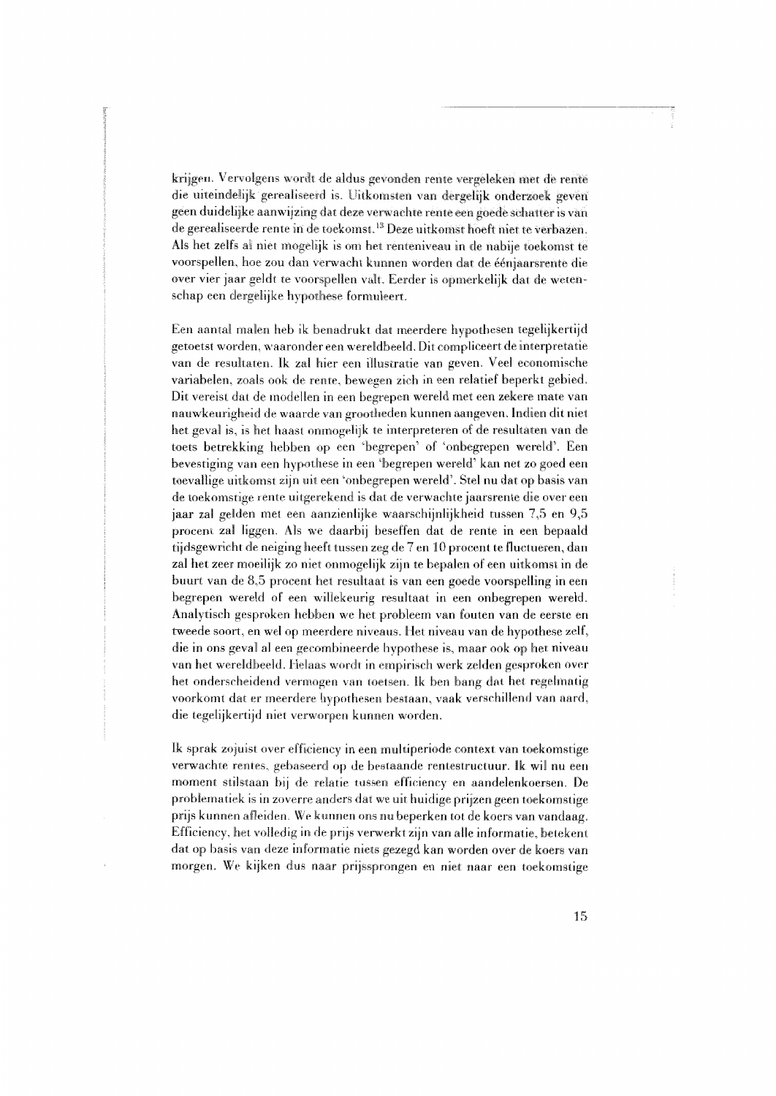krijgen. Vervolgens wordt de aldus gevonden rente vergeleken met de rente die uiteindelijk gerealiseerd is. Uitkomsten van dergelijk onderzoek geven geen duidelijke aanwijzing dat deze verwachte rente een goede schatter is van de gerealiseerde rente in de toekomst.<sup>13</sup> Deze uitkomst hoeft niet te verbazen. Als het zelfs al niet mogelijk is om het renteniveau in de nabije toekomst te voorspellen, hoe zou dan verwacht kunnen worden dat de éénjaarsrente die over vier jaar geldt te voorspellen valt. Eerder is opmerkelijk dat de wetenschap een dergelijke hypothese formuleert.

Een aantal malen heb ik benadrukt dat meerdere hypothesen tegelijkertijd getoetst worden. waaronder een wereldbeeld. Dit compliceert de interpretatie van de resultaten. Ik zal hier een illustratie van geven. Veel economische variabelen, zoals ook de rente, bewegen zich in een relatief beperkt gebied. Dit vereist dat de modellen in een begrepen wereld met een zekere mate van nauwkeurigheid de waarde van grootheden kunnen aangeven. Indien dit niet het geval is, is het haast onmogelijk te interpreteren of de resultaten van de toets betrekking hebben op een 'begrepen' of 'onbegrepen wereld'. Een bevestiging van een hypothese in een 'begrepen wereld' kan net zo goed een toevallige uitkomst zijn uit een 'onbegrepen wereld'. Stel nu dat op basis van de toekomstige rente uitgerekend is dat de verwachte jaarsrente die over een jaar zal gelden met een aanzienlijke waarschijnlijkheid tussen 7,5 en 9,5 procent zal liggen. Als we daarbij beseffen dat de rente in een bepaald tijdsgewricht de neiging heeft tussen zeg de 7 en 10 procent te fluctueren, dan zal het zeer moeilijk zo niet onmogelijk zijn te bepalen of een uitkomst in de buurt van de 8,5 procent het resultaat is van een goede voorspelling in een begrepen wereld of een willekeurig resultaat in een onbegrepen wereld. Analytisch gesproken hebben we het probleem van fouten van de eerste en tweede soort, en wel op meerdere niveaus. Het niveau van de hypothese zelf, die in ons geval al een gecombineerde hypothese is, maar ook op het niveau van het wereldbeeld. Helaas wordt in empirisch werk zelden gesproken over het onderscheidend vermogen van toetsen. Ik ben bang dat het regelmatig voorkomt dat er meerdere hypothesen bestaan, vaak verschillend van aard, die tegelijkertijd niet verworpen kunnen worden.

Ik sprak zojuist over efficiency in een multiperiode context van toekomstige verwachte rentes, gebaseerd op de bestaande rentestructuur. Ik wil nu een moment stilstaan bij de relatie tussen efficiency en aandelenkoersen. De problematiek is in zoverre anders dat we uit huidige prijzen geen toekomstige prijs kunnen afleiden. We kunnen ons nu beperken tot de koers van vandaag. Efficiency, het volledig in de prijs verwerkt zijn van alle informatie, betekent dat op basis van deze informatie niets gezegd kan worden over de koers van morgen. We kijken dus naar prijssprongen en niet naar een toekomstige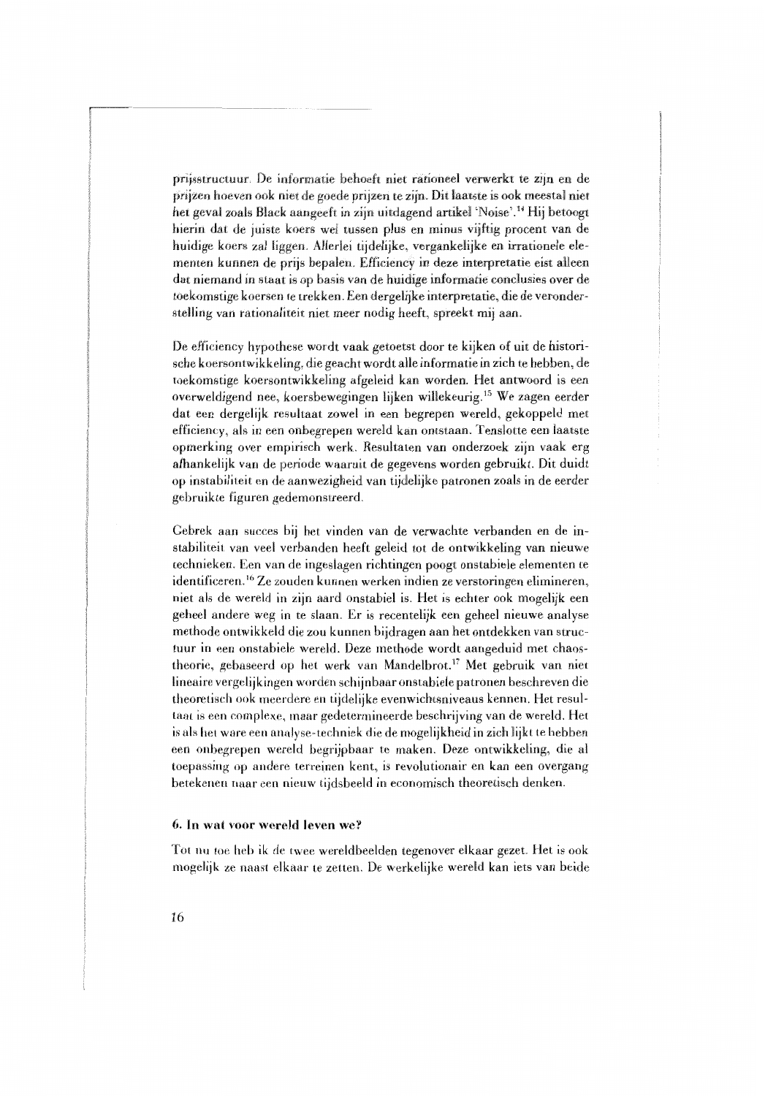prijsstructuur. De informatie behoeft niet rationeel verwerkt te zijn en de prijzen hoeven ook niet de goede prijzen te zijn. Dit laatste is ook meestal niet het geval zoals Black aangeeft in zijn uitdagend artikel 'Noise'.<sup>14</sup> Hij betoogt hierin dat de juiste koers wel tussen plus en minus vijftig procent van de huidige koers zal liggen. Allerlei tijdelijke, vergankelijke en irrationele elementen kunnen de prijs bepalen. Efficiency in deze interpretatie eist alleen dat niemand in staat is op basis van de huidige informatie conclusies over de toekomstige koersen te trekken. Een dergelijke interpretatie, die de veronderstelling van rationaliteit niet meer nodig heeft, spreekt mij aan.

De efficiency hypothese wordt vaak getoetst door te kijken of uit de historische koersontwikkeling, die geacht wordt alle informatie in zich te hebben, de toekomstige koersontwikkeling afgeleid kan worden. Het antwoord is een overweldigend nee, koersbewegingen lijken willekeurig.<sup>15</sup> We zagen eerder dat een dergelijk resultaat zowel in een begrepen wereld, gekoppeld met efficiency, als in een onbegrepen wereld kan ontstaan. Tenslotte een laatste opmerking over empirisch werk. Resultaten van onderzoek zijn vaak erg afhankelijk van de periode waaruit de gegevens worden gebruikt. Dit duidt op instabiliteit en de aanwezigheid van tijdelijke patronen zoals in de eerder gebruikte figuren gedemonstreerd.

Gebrek aan succes bij het vinden van de verwachte verbanden en de instabiliteit van veel verbanden heeft geleid tot de ontwikkeling van nieuwe technieken. Een van de ingeslagen richtingen poogt onstabiele elementen te identificeren.<sup>16</sup> Ze zouden kunnen werken indien ze verstoringen elimineren, niet als de wereld in zijn aard onstabiel is. Het is echter ook mogelijk een geheel andere weg in te slaan. Er is recentelijk een geheel nieuwe analyse methode ontwikkeld die zou kunnen bijdragen aan het ontdekken van structuur in een onstabiele wereld. Deze methode wordt aangeduid met chaostheorie, gebaseerd op het werk van Mandelbrot.<sup>17</sup> Met gebruik van niet lineaire vergelijkingen worden schijnbaar onstabiele patronen beschreven die theoretisch ook meerdere en tijdelijke evenwichtsniveaus kennen. Het resultaat is een complexe, maar gedetermineerde beschrijving van de wereld. Het is als het ware een analyse-techniek die de mogelijkheid in zich lijkt te hebben een onbegrepen wereld begrijpbaar te maken. Deze ontwikkeling, die al toepassing op andere terreinen kent, is revolutionair en kan een overgang betekenen naar een nieuw tijdsbeeld in economisch theoretisch denken.

## 6. In wat voor wereld leven we?

Tot nu toe heb ik de twee wereldbeelden tegenover elkaar gezet. Het is ook mogelijk ze naast elkaar te zetten. De werkelijke wereld kan iets van beide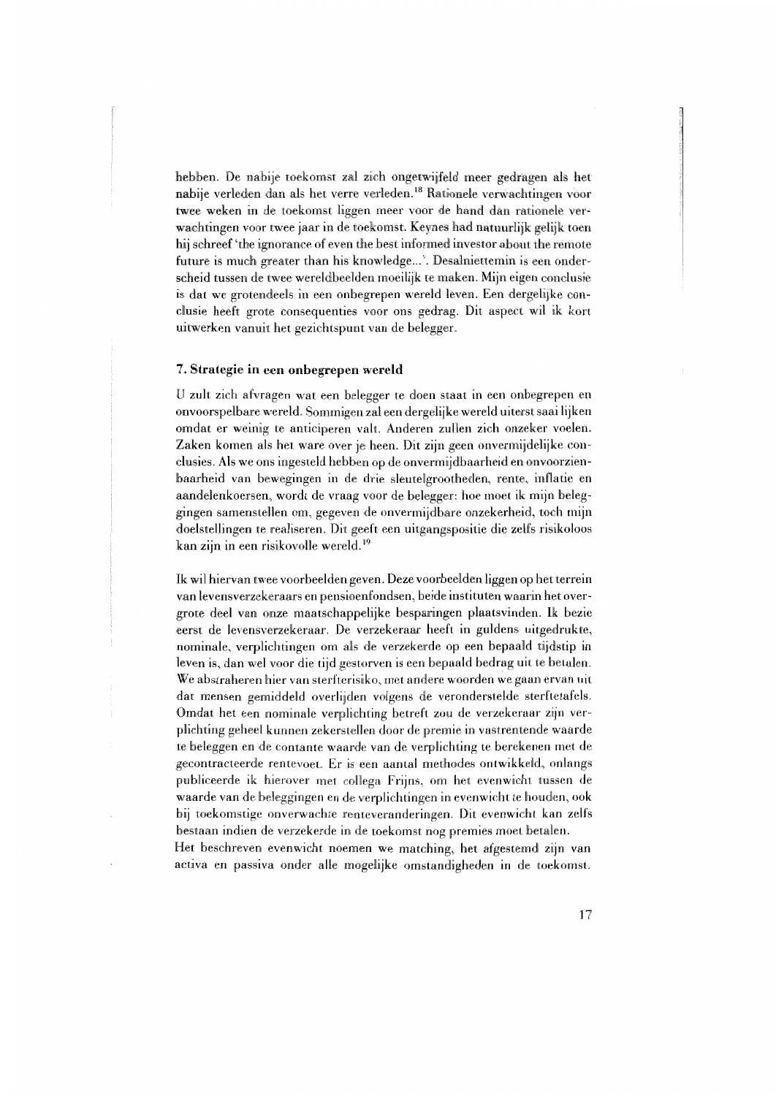hebben. De nabije toekomst zal zich ongetwijfeld meer gedragen als het nabije verleden dan als het verre verleden.<sup>18</sup> Rationele verwachtingen voor twee weken in de toekomst liggen meer voor de hand dan rationele verwachtingen voor twee jaar in de toekomst. Keynes had natuurlijk gelijk toen hij schreef 'the ignorance of even the best informed investor about the remote future is much greater than his knowledge...'. Desalniettemin is een onderscheid tussen de twee wereldbeelden moeilijk te maken. Mijn eigen conclusie is dat we grotendeels in een onbegrepen wereld leven. Een dergelijke conclusie heeft grote consequenties voor ons gedrag. Dit aspect wil ik kort uitwerken vanuit het gezichtspunt van de belegger.

## 7. Strategie in een onbegrepen wereld

U zult zich afvragen wat een belegger te doen staat in een onbegrepen en onvoorspelbare wereld. Sommigen zal een dergelijke wereld uiterst saai lijken omdat er weinig te anticiperen valt. Anderen zullen zich onzeker voelen. Zaken komen als het ware over je heen. Dit zijn geen onvermijdelijke conclusies. Als we ons ingesteld hebben op de onvermijdbaarheid en onvoorzienbaarheid van bewegingen in de drie sleutelgrootheden, rente, inflatie en aandelenkoersen, wordt de vraag voor de belegger: hoe moet ik mijn beleggingen samenstellen om, gegeven de onvermijdbare onzekerheid, toch mijn doelstellingen te realiseren. Dit geeft een uitgangspositie die zelfs risikoloos kan zijn in een risikovolle wereld.<sup>19</sup>

Ik wil hiervan twee voorbeelden geven. Deze voorbeelden liggen op het terrein van levensverzekeraars en pensioenfondsen, beide instituten waarin het overgrote deel van onze maatschappelijke besparingen plaatsvinden. Ik bezie eerst de levensverzekeraar. De verzekeraar heeft in guldens uitgedrukte, nominale, verplichtingen om als de verzekerde op een bepaald tijdstip in leven is, dan wel voor die tijd gestorven is een bepaald bedrag uit te betalen. We abstraheren hier van sterfterisiko, met andere woorden we gaan ervan uit dat mensen gemiddeld overlijden volgens de veronderstelde sterftetafels. Omdat het een nominale verplichting betreft zou de verzekeraar zijn verplichting geheel kunnen zekerstellen door de premie in vastrentende waarde te beleggen en de contante waarde van de verplichting te berekenen met de gecontracteerde rentevoet. Er is een aantal methodes ontwikkeld, onlangs publiceerde ik hierover met collega Frijns, om het evenwicht tussen de waarde van de beleggingen en de verplichtingen in evenwicht te houden, ook bij toekomstige onverwachte renteveranderingen. Dit evenwicht kan zelfs bestaan indien de verzekerde in de toekomst nog premies moet betalen.

Het beschreven evenwicht noemen we matching, het afgestemd zijn van activa en passiva onder alle mogelijke omstandigheden in de toekomst.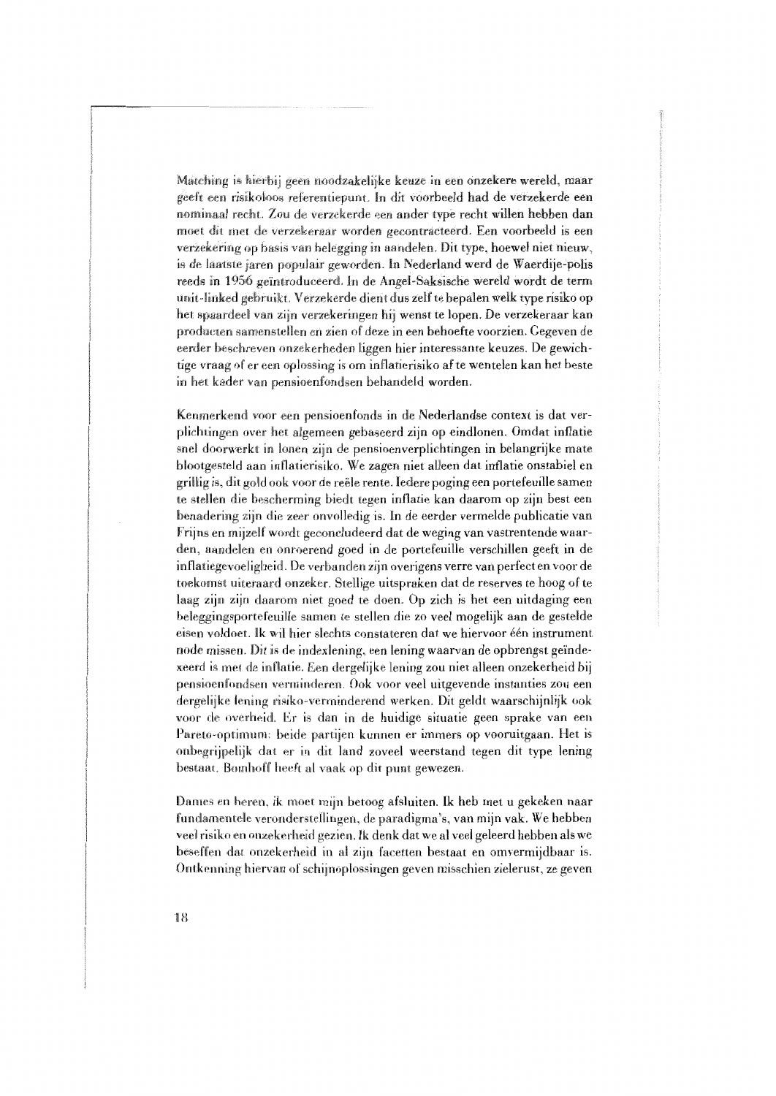Matching is hierbij geen noodzakelijke keuze in een onzekere wereld, maar geeft een risikoloos referentiepunt. In dit voorbeeld had de verzekerde een nominaal recht. Zou de verzekerde een ander type recht willen hebben dan moet dit met de verzekeraar worden gecontracteerd. Een voorbeeld is een verzekering op basis van belegging in aandelen. Dit type, hoewel niet nieuw, is de laatste jaren populair geworden. In Nederland werd de Waerdije-polis reeds in 1956 geïntroduceerd. In de Angel-Saksische wereld wordt de term unit-linked gebruikt. Verzekerde dient dus zelf te bepalen welk type risiko op het spaardeel van zijn verzekeringen hij wenst te lopen. De verzekeraar kan producten samenstellen en zien of deze in een behoefte voorzien. Gegeven de eerder beschreven onzekerheden liggen hier interessante keuzes. De gewichtige vraag of er een oplossing is om inflatierisiko af te wentelen kan het beste in het kader van pensioenfondsen behandeld worden.

Kenmerkend voor een pensioenfonds in de Nederlandse context is dat verplichtingen over het algemeen gebaseerd zijn op eindlonen. Omdat inflatie snel doorwerkt in lonen zijn de pensioenverplichtingen in belangrijke mate blootgesteld aan inflatierisiko. We zagen niet alleen dat inflatie onstabiel en grillig is, dit gold ook voor de reële rente. Iedere poging een portefeuille samen te stellen die bescherming biedt tegen inflatie kan daarom op zijn best een benadering zijn die zeer onvolledig is. In de eerder vermelde publicatie van Frijns en mijzelf wordt geconcludeerd dat de weging van vastrentende waarden, aandelen en onroerend goed in de portefeuille verschillen geeft in de inflatiegevoeligheid. De verbanden zijn overigens verre van perfect en voor de toekomst uiteraard onzeker. Stellige uitspraken dat de reserves te hoog of te laag zijn zijn daarom niet goed te doen. Op zich is het een uitdaging een beleggingsportefeuille samen te stellen die zo veel mogelijk aan de gestelde eisen voldoet. Ik wil hier slechts constateren dat we hiervoor één instrument node missen. Dit is de indexlening, een lening waarvan de opbrengst geïndexeerd is met de inflatie. Een dergelijke lening zou niet alleen onzekerheid bij pensioenfondsen verminderen. Ook voor veel uitgevende instanties zou een dergelijke lening risiko-verminderend werken. Dit geldt waarschijnlijk ook voor de overheid. Er is dan in de huidige situatie geen sprake van een Pareto-optimum: beide partijen kunnen er immers op vooruitgaan. Het is onbegrijpelijk dat er in dit land zoveel weerstand tegen dit type lening bestaat. Bomhoff heeft al vaak op dit punt gewezen.

Dames en heren, ik moet mijn betoog afsluiten. Ik heb met u gekeken naar fundamentele veronderstellingen, de paradigma's, van mijn vak. We hebben veel risiko en onzekerheid gezien. Ik denk dat we al veel geleerd hebben als we beseffen dat onzekerheid in al zijn facetten bestaat en omvermijdbaar is. Ontkenning hiervan of schijnoplossingen geven misschien zielerust, ze geven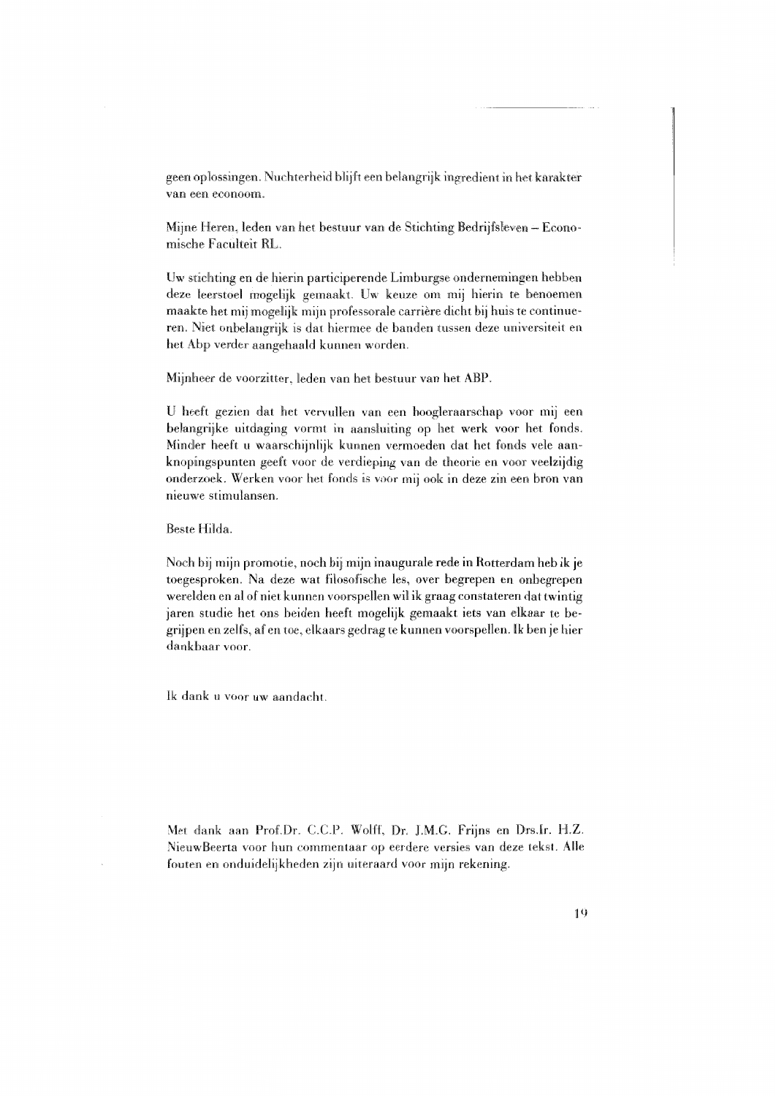geen oplossingen. Nuchterheid blijft een belangrijk ingredient in het karakter van een econoom.

Mijne Heren, leden van het bestuur van de Stichting Bedrijfsleven - Economische Faculteit RL.

Uw stichting en de hierin participerende Limburgse ondernemingen hebben deze leerstoel mogelijk gemaakt. Uw keuze om mij hierin te benoemen maakte het mij mogelijk mijn professorale carrière dicht bij huis te continueren. Niet onbelangrijk is dat hiermee de banden tussen deze universiteit en het Abp verder aangehaald kunnen worden.

Mijnheer de voorzitter, leden van het bestuur van het ABP.

U heeft gezien dat het vervullen van een hoogleraarschap voor mij een belangrijke uitdaging vormt in aansluiting op het werk voor het fonds. Minder heeft u waarschijnlijk kunnen vermoeden dat het fonds vele aanknopingspunten geeft voor de verdieping van de theorie en voor veelzijdig onderzoek. Werken voor het fonds is voor mij ook in deze zin een bron van nieuwe stimulansen.

Beste Hilda.

Noch bij mijn promotie, noch bij mijn inaugurale rede in Rotterdam heb ik je toegesproken. Na deze wat filosofische les, over begrepen en onbegrepen werelden en al of niet kunnen voorspellen wil ik graag constateren dat twintig jaren studie het ons beiden heeft mogelijk gemaakt iets van elkaar te begrijpen en zelfs, af en toe, elkaars gedrag te kunnen voorspellen. Ik ben je hier dankhaar voor

Ik dank u voor uw aandacht.

Met dank aan Prof.Dr. C.C.P. Wolff, Dr. J.M.G. Frijns en Drs.Ir. H.Z. NieuwBeerta voor hun commentaar op eerdere versies van deze tekst. Alle fouten en onduidelijkheden zijn uiteraard voor mijn rekening.